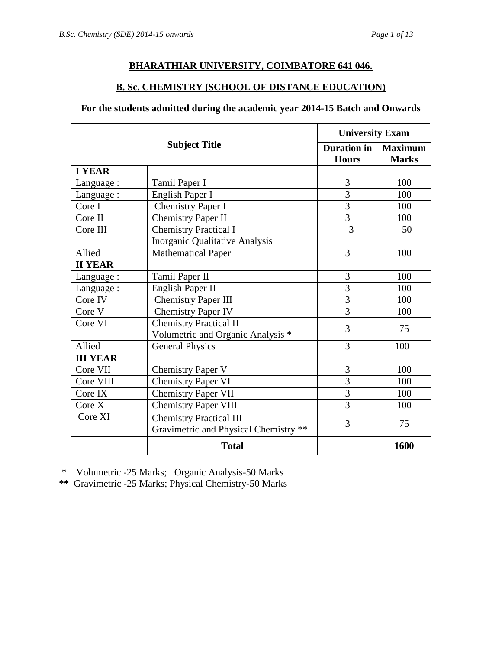# **BHARATHIAR UNIVERSITY, COIMBATORE 641 046.**

# **B. Sc. CHEMISTRY (SCHOOL OF DISTANCE EDUCATION)**

## **For the students admitted during the academic year 2014-15 Batch and Onwards**

| <b>Subject Title</b> |                                                                         | <b>University Exam</b>             |                                |
|----------------------|-------------------------------------------------------------------------|------------------------------------|--------------------------------|
|                      |                                                                         | <b>Duration</b> in<br><b>Hours</b> | <b>Maximum</b><br><b>Marks</b> |
| <b>I YEAR</b>        |                                                                         |                                    |                                |
| Language:            | Tamil Paper I                                                           | 3                                  | 100                            |
| Language :           | English Paper I                                                         | 3                                  | 100                            |
| Core I               | <b>Chemistry Paper I</b>                                                | $\overline{3}$                     | 100                            |
| Core II              | <b>Chemistry Paper II</b>                                               | $\overline{3}$                     | 100                            |
| Core III             | <b>Chemistry Practical I</b>                                            | $\overline{3}$                     | 50                             |
|                      | <b>Inorganic Qualitative Analysis</b>                                   |                                    |                                |
| Allied               | <b>Mathematical Paper</b>                                               | 3                                  | 100                            |
| <b>II YEAR</b>       |                                                                         |                                    |                                |
| Language:            | Tamil Paper II                                                          | 3                                  | 100                            |
| Language:            | English Paper II                                                        | 3                                  | 100                            |
| Core IV              | <b>Chemistry Paper III</b>                                              | 3                                  | 100                            |
| Core V               | <b>Chemistry Paper IV</b>                                               | 3                                  | 100                            |
| Core VI              | <b>Chemistry Practical II</b><br>Volumetric and Organic Analysis *      | 3                                  | 75                             |
| Allied               | <b>General Physics</b>                                                  | 3                                  | 100                            |
| <b>III YEAR</b>      |                                                                         |                                    |                                |
| Core VII             | <b>Chemistry Paper V</b>                                                | 3                                  | 100                            |
| Core VIII            | <b>Chemistry Paper VI</b>                                               | $\overline{3}$                     | 100                            |
| Core IX              | <b>Chemistry Paper VII</b>                                              | 3                                  | 100                            |
| Core X               | <b>Chemistry Paper VIII</b>                                             | 3                                  | 100                            |
| Core XI              | <b>Chemistry Practical III</b><br>Gravimetric and Physical Chemistry ** | 3                                  | 75                             |
|                      | <b>Total</b>                                                            |                                    | 1600                           |

\* Volumetric -25 Marks; Organic Analysis-50 Marks

**\*\*** Gravimetric -25 Marks; Physical Chemistry-50 Marks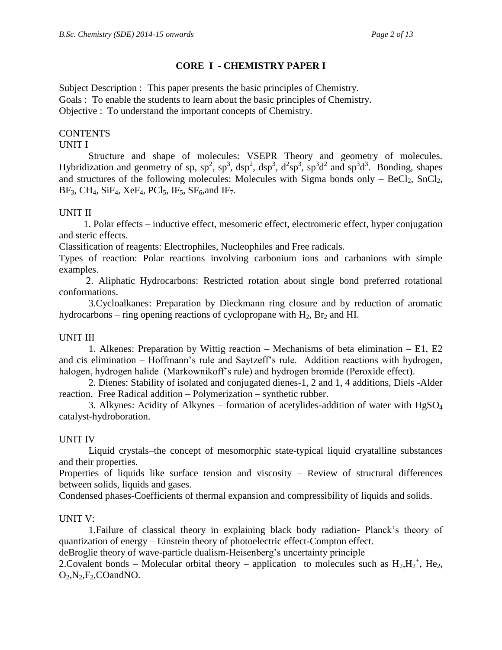# **CORE I - CHEMISTRY PAPER I**

Subject Description : This paper presents the basic principles of Chemistry. Goals : To enable the students to learn about the basic principles of Chemistry. Objective : To understand the important concepts of Chemistry.

# **CONTENTS**

## UNIT I

Structure and shape of molecules: VSEPR Theory and geometry of molecules. Hybridization and geometry of sp,  $sp^2$ ,  $sp^3$ ,  $dsp^2$ ,  $dsp^3$ ,  $d^2sp^3$ ,  $sp^3d^2$  and  $sp^3d^3$ . Bonding, shapes and structures of the following molecules: Molecules with Sigma bonds only  $-$  BeCl<sub>2</sub>, SnCl<sub>2</sub>,  $BF_3$ , CH<sub>4</sub>, SiF<sub>4</sub>, XeF<sub>4</sub>, PCl<sub>5</sub>, IF<sub>5</sub>, SF<sub>6</sub>, and IF<sub>7</sub>.

# UNIT II

 1. Polar effects – inductive effect, mesomeric effect, electromeric effect, hyper conjugation and steric effects.

Classification of reagents: Electrophiles, Nucleophiles and Free radicals.

Types of reaction: Polar reactions involving carbonium ions and carbanions with simple examples.

 2. Aliphatic Hydrocarbons: Restricted rotation about single bond preferred rotational conformations.

 3.Cycloalkanes: Preparation by Dieckmann ring closure and by reduction of aromatic hydrocarbons – ring opening reactions of cyclopropane with  $H_2$ ,  $Br_2$  and HI.

# UNIT III

1. Alkenes: Preparation by Wittig reaction – Mechanisms of beta elimination – E1, E2 and cis elimination – Hoffmann's rule and Saytzeff's rule. Addition reactions with hydrogen, halogen, hydrogen halide (Markownikoff's rule) and hydrogen bromide (Peroxide effect).

2. Dienes: Stability of isolated and conjugated dienes-1, 2 and 1, 4 additions, Diels -Alder reaction. Free Radical addition – Polymerization – synthetic rubber.

3. Alkynes: Acidity of Alkynes – formation of acetylides-addition of water with  $HgSO<sub>4</sub>$ catalyst-hydroboration.

# UNIT IV

Liquid crystals–the concept of mesomorphic state-typical liquid cryatalline substances and their properties.

Properties of liquids like surface tension and viscosity – Review of structural differences between solids, liquids and gases.

Condensed phases-Coefficients of thermal expansion and compressibility of liquids and solids.

# UNIT V:

1.Failure of classical theory in explaining black body radiation- Planck's theory of quantization of energy – Einstein theory of photoelectric effect-Compton effect.

deBroglie theory of wave-particle dualism-Heisenberg's uncertainty principle

2. Covalent bonds – Molecular orbital theory – application to molecules such as  $H_2,H_2^+$ , He<sub>2</sub>,  $O_2$ ,  $N_2$ ,  $F_2$ ,  $CO$ and NO.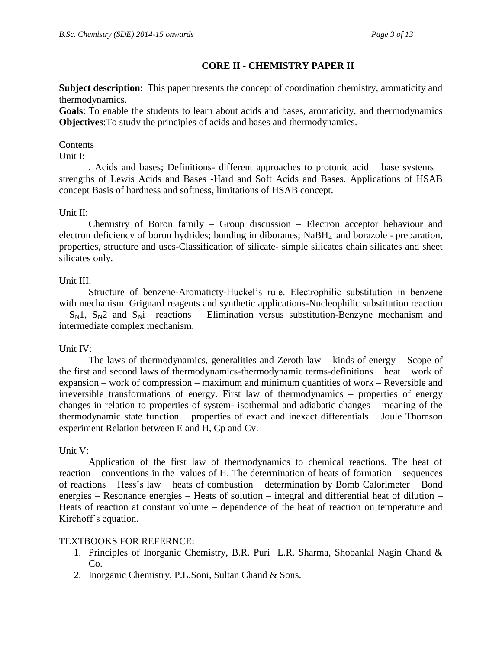# **CORE II - CHEMISTRY PAPER II**

**Subject description**: This paper presents the concept of coordination chemistry, aromaticity and thermodynamics.

**Goals**: To enable the students to learn about acids and bases, aromaticity, and thermodynamics **Objectives**:To study the principles of acids and bases and thermodynamics.

#### Contents

Unit I:

. Acids and bases; Definitions- different approaches to protonic acid – base systems – strengths of Lewis Acids and Bases -Hard and Soft Acids and Bases. Applications of HSAB concept Basis of hardness and softness, limitations of HSAB concept.

### Unit II:

Chemistry of Boron family – Group discussion – Electron acceptor behaviour and electron deficiency of boron hydrides; bonding in diboranes; NaBH4 and borazole - preparation, properties, structure and uses-Classification of silicate- simple silicates chain silicates and sheet silicates only.

### Unit III:

Structure of benzene-Aromaticty-Huckel's rule. Electrophilic substitution in benzene with mechanism. Grignard reagents and synthetic applications-Nucleophilic substitution reaction  $- S_N1$ ,  $S_N2$  and  $S_Ni$  reactions – Elimination versus substitution-Benzyne mechanism and intermediate complex mechanism.

### Unit IV:

The laws of thermodynamics, generalities and Zeroth law – kinds of energy – Scope of the first and second laws of thermodynamics-thermodynamic terms-definitions – heat – work of expansion – work of compression – maximum and minimum quantities of work – Reversible and irreversible transformations of energy. First law of thermodynamics – properties of energy changes in relation to properties of system- isothermal and adiabatic changes – meaning of the thermodynamic state function – properties of exact and inexact differentials – Joule Thomson experiment Relation between E and H, Cp and Cv.

### Unit V:

Application of the first law of thermodynamics to chemical reactions. The heat of reaction – conventions in the values of H. The determination of heats of formation – sequences of reactions – Hess's law – heats of combustion – determination by Bomb Calorimeter – Bond energies – Resonance energies – Heats of solution – integral and differential heat of dilution – Heats of reaction at constant volume – dependence of the heat of reaction on temperature and Kirchoff's equation.

### TEXTBOOKS FOR REFERNCE:

- 1. Principles of Inorganic Chemistry, B.R. Puri L.R. Sharma, Shobanlal Nagin Chand & Co.
- 2. Inorganic Chemistry, P.L.Soni, Sultan Chand & Sons.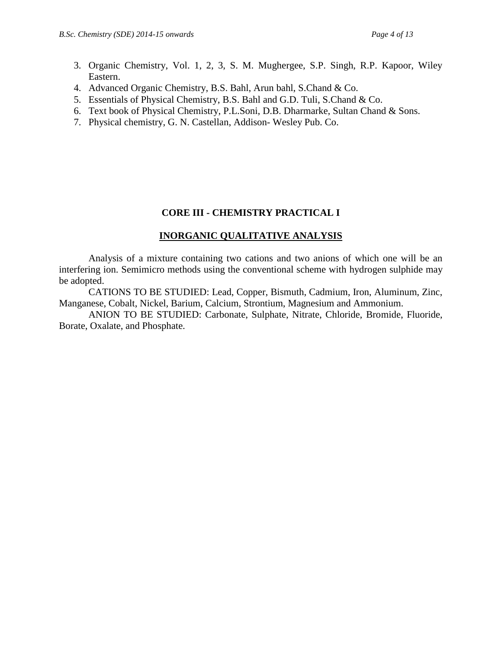- 3. Organic Chemistry, Vol. 1, 2, 3, S. M. Mughergee, S.P. Singh, R.P. Kapoor, Wiley Eastern.
- 4. Advanced Organic Chemistry, B.S. Bahl, Arun bahl, S.Chand & Co.
- 5. Essentials of Physical Chemistry, B.S. Bahl and G.D. Tuli, S.Chand & Co.
- 6. Text book of Physical Chemistry, P.L.Soni, D.B. Dharmarke, Sultan Chand & Sons.
- 7. Physical chemistry, G. N. Castellan, Addison- Wesley Pub. Co.

# **CORE III - CHEMISTRY PRACTICAL I**

# **INORGANIC QUALITATIVE ANALYSIS**

Analysis of a mixture containing two cations and two anions of which one will be an interfering ion. Semimicro methods using the conventional scheme with hydrogen sulphide may be adopted.

CATIONS TO BE STUDIED: Lead, Copper, Bismuth, Cadmium, Iron, Aluminum, Zinc, Manganese, Cobalt, Nickel, Barium, Calcium, Strontium, Magnesium and Ammonium.

ANION TO BE STUDIED: Carbonate, Sulphate, Nitrate, Chloride, Bromide, Fluoride, Borate, Oxalate, and Phosphate.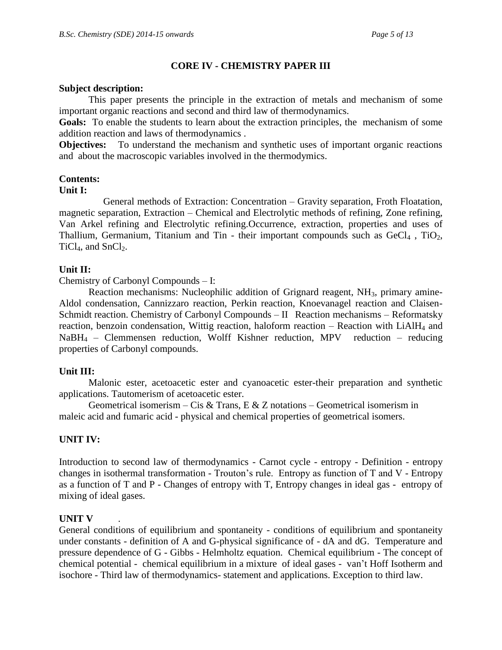# **CORE IV - CHEMISTRY PAPER III**

### **Subject description:**

This paper presents the principle in the extraction of metals and mechanism of some important organic reactions and second and third law of thermodynamics.

**Goals:** To enable the students to learn about the extraction principles, the mechanism of some addition reaction and laws of thermodynamics .

**Objectives:** To understand the mechanism and synthetic uses of important organic reactions and about the macroscopic variables involved in the thermodymics.

# **Contents:**

#### **Unit I:**

 General methods of Extraction: Concentration – Gravity separation, Froth Floatation, magnetic separation, Extraction – Chemical and Electrolytic methods of refining, Zone refining, Van Arkel refining and Electrolytic refining.Occurrence, extraction, properties and uses of Thallium, Germanium, Titanium and Tin - their important compounds such as  $GeCl<sub>4</sub>$ , TiO<sub>2</sub>,  $TiCl<sub>4</sub>$ , and  $SnCl<sub>2</sub>$ .

## **Unit II:**

Chemistry of Carbonyl Compounds – I:

Reaction mechanisms: Nucleophilic addition of Grignard reagent, NH<sub>3</sub>, primary amine-Aldol condensation, Cannizzaro reaction, Perkin reaction, Knoevanagel reaction and Claisen-Schmidt reaction. Chemistry of Carbonyl Compounds – II Reaction mechanisms – Reformatsky reaction, benzoin condensation, Wittig reaction, haloform reaction – Reaction with LiAlH<sub>4</sub> and  $NaBH_4$  – Clemmensen reduction, Wolff Kishner reduction, MPV reduction – reducing properties of Carbonyl compounds.

### **Unit III:**

Malonic ester, acetoacetic ester and cyanoacetic ester-their preparation and synthetic applications. Tautomerism of acetoacetic ester.

Geometrical isomerism – Cis & Trans, E & Z notations – Geometrical isomerism in maleic acid and fumaric acid - physical and chemical properties of geometrical isomers.

# **UNIT IV:**

Introduction to second law of thermodynamics - Carnot cycle - entropy - Definition - entropy changes in isothermal transformation - Trouton's rule. Entropy as function of T and V - Entropy as a function of T and P - Changes of entropy with T, Entropy changes in ideal gas - entropy of mixing of ideal gases.

### **UNIT V** .

General conditions of equilibrium and spontaneity - conditions of equilibrium and spontaneity under constants - definition of A and G-physical significance of - dA and dG. Temperature and pressure dependence of G - Gibbs - Helmholtz equation. Chemical equilibrium - The concept of chemical potential - chemical equilibrium in a mixture of ideal gases - van't Hoff Isotherm and isochore - Third law of thermodynamics- statement and applications. Exception to third law.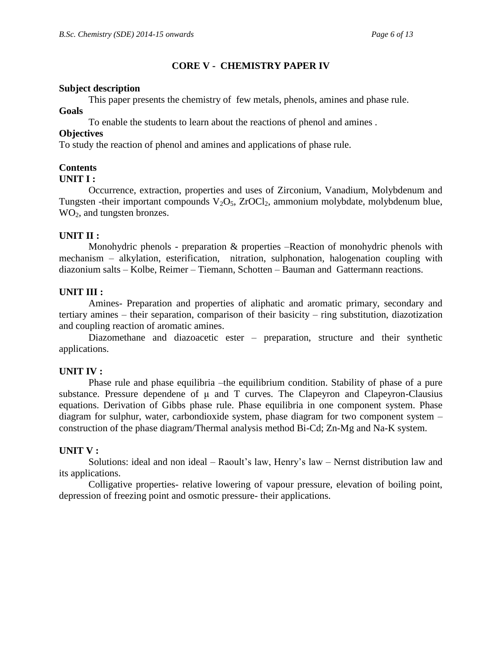# **CORE V - CHEMISTRY PAPER IV**

#### **Subject description**

This paper presents the chemistry of few metals, phenols, amines and phase rule.

#### **Goals**

To enable the students to learn about the reactions of phenol and amines .

## **Objectives**

To study the reaction of phenol and amines and applications of phase rule.

## **Contents**

### **UNIT I :**

Occurrence, extraction, properties and uses of Zirconium, Vanadium, Molybdenum and Tungsten -their important compounds  $V_2O_5$ , ZrOCl<sub>2</sub>, ammonium molybdate, molybdenum blue, WO<sub>2</sub>, and tungsten bronzes.

## **UNIT II :**

Monohydric phenols - preparation & properties –Reaction of monohydric phenols with mechanism – alkylation, esterification, nitration, sulphonation, halogenation coupling with diazonium salts – Kolbe, Reimer – Tiemann, Schotten – Bauman and Gattermann reactions.

## **UNIT III :**

Amines- Preparation and properties of aliphatic and aromatic primary, secondary and tertiary amines – their separation, comparison of their basicity – ring substitution, diazotization and coupling reaction of aromatic amines.

Diazomethane and diazoacetic ester – preparation, structure and their synthetic applications.

# **UNIT IV :**

Phase rule and phase equilibria –the equilibrium condition. Stability of phase of a pure substance. Pressure dependene of μ and T curves. The Clapeyron and Clapeyron-Clausius equations. Derivation of Gibbs phase rule. Phase equilibria in one component system. Phase diagram for sulphur, water, carbondioxide system, phase diagram for two component system – construction of the phase diagram/Thermal analysis method Bi-Cd; Zn-Mg and Na-K system.

### **UNIT V :**

Solutions: ideal and non ideal – Raoult's law, Henry's law – Nernst distribution law and its applications.

Colligative properties- relative lowering of vapour pressure, elevation of boiling point, depression of freezing point and osmotic pressure- their applications.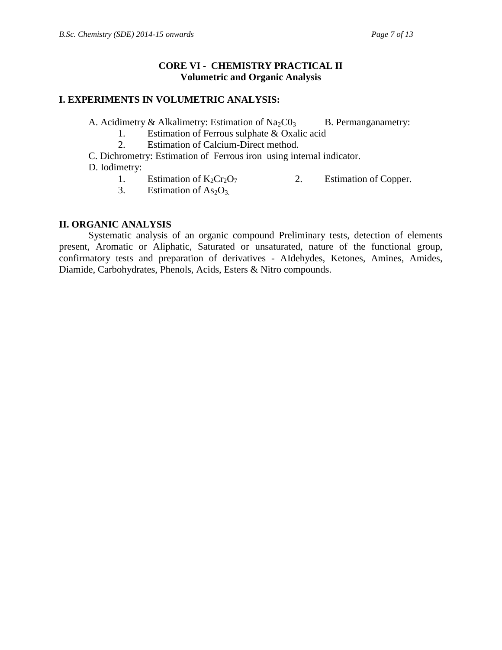## **CORE VI - CHEMISTRY PRACTICAL II Volumetric and Organic Analysis**

## **I. EXPERIMENTS IN VOLUMETRIC ANALYSIS:**

A. Acidimetry & Alkalimetry: Estimation of  $Na_2CO_3$  B. Permanganametry:

1. Estimation of Ferrous sulphate & Oxalic acid

2. Estimation of Calcium-Direct method.

C. Dichrometry: Estimation of Ferrous iron using internal indicator.

D. Iodimetry:

- 1. Estimation of  $K_2Cr_2O_7$  2. Estimation of Copper.<br>3. Estimation of As<sub>2</sub>O<sub>3</sub>
- Estimation of  $As<sub>2</sub>O<sub>3</sub>$ .

# **II. ORGANIC ANALYSIS**

Systematic analysis of an organic compound Preliminary tests, detection of elements present, Aromatic or Aliphatic, Saturated or unsaturated, nature of the functional group, confirmatory tests and preparation of derivatives - AIdehydes, Ketones, Amines, Amides, Diamide, Carbohydrates, Phenols, Acids, Esters & Nitro compounds.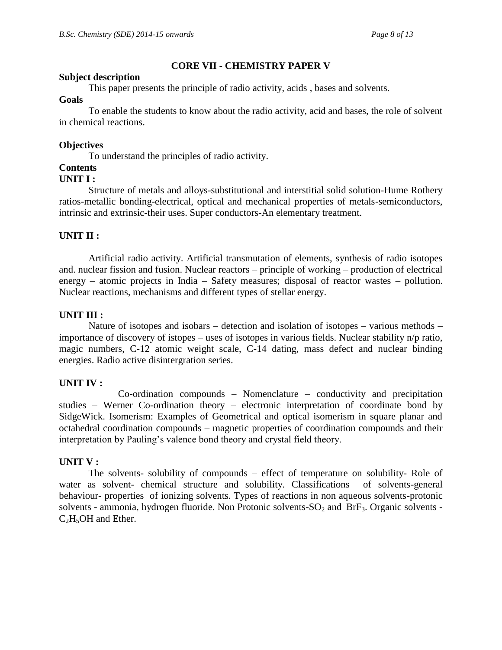## **CORE VII - CHEMISTRY PAPER V**

#### **Subject description**

This paper presents the principle of radio activity, acids , bases and solvents.

#### **Goals**

To enable the students to know about the radio activity, acid and bases, the role of solvent in chemical reactions.

## **Objectives**

To understand the principles of radio activity.

# **Contents**

#### **UNIT I :**

Structure of metals and alloys-substitutional and interstitial solid solution-Hume Rothery ratios-metallic bonding-electrical, optical and mechanical properties of metals-semiconductors, intrinsic and extrinsic-their uses. Super conductors-An elementary treatment.

## **UNIT II :**

Artificial radio activity. Artificial transmutation of elements, synthesis of radio isotopes and. nuclear fission and fusion. Nuclear reactors – principle of working – production of electrical energy – atomic projects in India – Safety measures; disposal of reactor wastes – pollution. Nuclear reactions, mechanisms and different types of stellar energy.

### **UNIT III :**

Nature of isotopes and isobars – detection and isolation of isotopes – various methods – importance of discovery of istopes – uses of isotopes in various fields. Nuclear stability n/p ratio, magic numbers, C-12 atomic weight scale, C-14 dating, mass defect and nuclear binding energies. Radio active disintergration series.

### **UNIT IV :**

Co-ordination compounds – Nomenclature – conductivity and precipitation studies – Werner Co-ordination theory – electronic interpretation of coordinate bond by SidgeWick. Isomerism: Examples of Geometrical and optical isomerism in square planar and octahedral coordination compounds – magnetic properties of coordination compounds and their interpretation by Pauling's valence bond theory and crystal field theory.

### **UNIT V :**

The solvents- solubility of compounds – effect of temperature on solubility- Role of water as solvent- chemical structure and solubility. Classifications of solvents-general behaviour- properties of ionizing solvents. Types of reactions in non aqueous solvents-protonic solvents - ammonia, hydrogen fluoride. Non Protonic solvents- $SO<sub>2</sub>$  and BrF<sub>3</sub>. Organic solvents - $C_2H_5OH$  and Ether.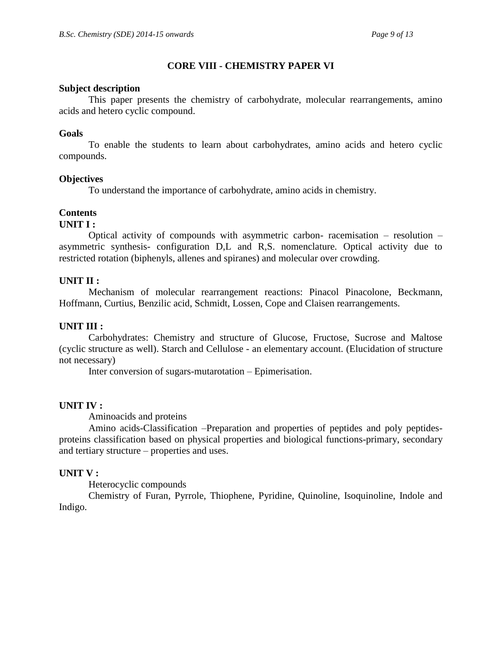# **CORE VIII - CHEMISTRY PAPER VI**

## **Subject description**

This paper presents the chemistry of carbohydrate, molecular rearrangements, amino acids and hetero cyclic compound.

## **Goals**

To enable the students to learn about carbohydrates, amino acids and hetero cyclic compounds.

## **Objectives**

To understand the importance of carbohydrate, amino acids in chemistry.

# **Contents**

### **UNIT I :**

Optical activity of compounds with asymmetric carbon- racemisation – resolution – asymmetric synthesis- configuration D,L and R,S. nomenclature. Optical activity due to restricted rotation (biphenyls, allenes and spiranes) and molecular over crowding.

## **UNIT II :**

Mechanism of molecular rearrangement reactions: Pinacol Pinacolone, Beckmann, Hoffmann, Curtius, Benzilic acid, Schmidt, Lossen, Cope and Claisen rearrangements.

# **UNIT III :**

Carbohydrates: Chemistry and structure of Glucose, Fructose, Sucrose and Maltose (cyclic structure as well). Starch and Cellulose - an elementary account. (Elucidation of structure not necessary)

Inter conversion of sugars-mutarotation – Epimerisation.

# **UNIT IV :**

Aminoacids and proteins

Amino acids-Classification –Preparation and properties of peptides and poly peptidesproteins classification based on physical properties and biological functions-primary, secondary and tertiary structure – properties and uses.

### **UNIT V :**

Heterocyclic compounds

Chemistry of Furan, Pyrrole, Thiophene, Pyridine, Quinoline, Isoquinoline, Indole and Indigo.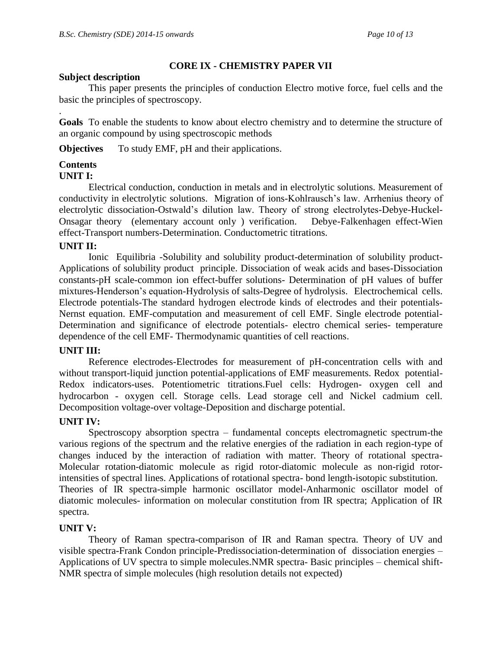# **CORE IX - CHEMISTRY PAPER VII**

## **Subject description**

This paper presents the principles of conduction Electro motive force, fuel cells and the basic the principles of spectroscopy.

**Goals** To enable the students to know about electro chemistry and to determine the structure of an organic compound by using spectroscopic methods

**Objectives** To study EMF, pH and their applications.

# **Contents**

.

### **UNIT I:**

Electrical conduction, conduction in metals and in electrolytic solutions. Measurement of conductivity in electrolytic solutions. Migration of ions-Kohlrausch's law. Arrhenius theory of electrolytic dissociation-Ostwald's dilution law. Theory of strong electrolytes-Debye-Huckel-Onsagar theory (elementary account only ) verification. Debye-Falkenhagen effect-Wien effect-Transport numbers-Determination. Conductometric titrations.

## **UNIT II:**

Ionic Equilibria -Solubility and solubility product-determination of solubility product-Applications of solubility product principle. Dissociation of weak acids and bases-Dissociation constants-pH scale-common ion effect-buffer solutions- Determination of pH values of buffer mixtures-Henderson's equation-Hydrolysis of salts-Degree of hydrolysis. Electrochemical cells. Electrode potentials-The standard hydrogen electrode kinds of electrodes and their potentials-Nernst equation. EMF-computation and measurement of cell EMF. Single electrode potential-Determination and significance of electrode potentials- electro chemical series- temperature dependence of the cell EMF- Thermodynamic quantities of cell reactions.

# **UNIT III:**

Reference electrodes-Electrodes for measurement of pH-concentration cells with and without transport-liquid junction potential-applications of EMF measurements. Redox potential-Redox indicators-uses. Potentiometric titrations.Fuel cells: Hydrogen- oxygen cell and hydrocarbon - oxygen cell. Storage cells. Lead storage cell and Nickel cadmium cell. Decomposition voltage-over voltage-Deposition and discharge potential.

# **UNIT IV:**

Spectroscopy absorption spectra – fundamental concepts electromagnetic spectrum-the various regions of the spectrum and the relative energies of the radiation in each region-type of changes induced by the interaction of radiation with matter. Theory of rotational spectra-Molecular rotation-diatomic molecule as rigid rotor-diatomic molecule as non-rigid rotorintensities of spectral lines. Applications of rotational spectra- bond length-isotopic substitution. Theories of IR spectra-simple harmonic oscillator model-Anharmonic oscillator model of diatomic molecules- information on molecular constitution from IR spectra; Application of IR spectra.

# **UNIT V:**

Theory of Raman spectra-comparison of IR and Raman spectra. Theory of UV and visible spectra-Frank Condon principle-Predissociation-determination of dissociation energies – Applications of UV spectra to simple molecules.NMR spectra- Basic principles – chemical shift-NMR spectra of simple molecules (high resolution details not expected)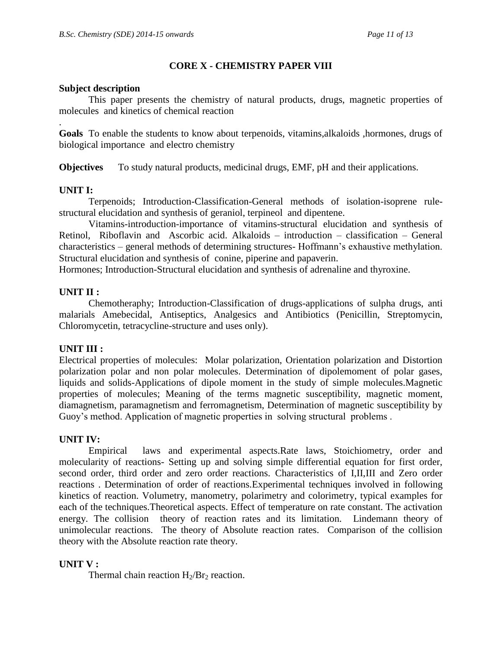# **CORE X - CHEMISTRY PAPER VIII**

### **Subject description**

This paper presents the chemistry of natural products, drugs, magnetic properties of molecules and kinetics of chemical reaction

**Goals** To enable the students to know about terpenoids, vitamins,alkaloids ,hormones, drugs of biological importance and electro chemistry

**Objectives** To study natural products, medicinal drugs, EMF, pH and their applications.

## **UNIT I:**

.

Terpenoids; Introduction-Classification-General methods of isolation-isoprene rulestructural elucidation and synthesis of geraniol, terpineol and dipentene.

Vitamins-introduction-importance of vitamins-structural elucidation and synthesis of Retinol, Riboflavin and Ascorbic acid. Alkaloids – introduction – classification – General characteristics – general methods of determining structures- Hoffmann's exhaustive methylation. Structural elucidation and synthesis of conine, piperine and papaverin.

Hormones; Introduction-Structural elucidation and synthesis of adrenaline and thyroxine.

## **UNIT II :**

Chemotheraphy; Introduction-Classification of drugs-applications of sulpha drugs, anti malarials Amebecidal, Antiseptics, Analgesics and Antibiotics (Penicillin, Streptomycin, Chloromycetin, tetracycline-structure and uses only).

### **UNIT III :**

Electrical properties of molecules: Molar polarization, Orientation polarization and Distortion polarization polar and non polar molecules. Determination of dipolemoment of polar gases, liquids and solids-Applications of dipole moment in the study of simple molecules.Magnetic properties of molecules; Meaning of the terms magnetic susceptibility, magnetic moment, diamagnetism, paramagnetism and ferromagnetism, Determination of magnetic susceptibility by Guoy's method. Application of magnetic properties in solving structural problems .

### **UNIT IV:**

Empirical laws and experimental aspects.Rate laws, Stoichiometry, order and molecularity of reactions- Setting up and solving simple differential equation for first order, second order, third order and zero order reactions. Characteristics of I,II,III and Zero order reactions . Determination of order of reactions.Experimental techniques involved in following kinetics of reaction. Volumetry, manometry, polarimetry and colorimetry, typical examples for each of the techniques.Theoretical aspects. Effect of temperature on rate constant. The activation energy. The collision theory of reaction rates and its limitation. Lindemann theory of unimolecular reactions. The theory of Absolute reaction rates. Comparison of the collision theory with the Absolute reaction rate theory.

### **UNIT V :**

Thermal chain reaction  $H_2/Br_2$  reaction.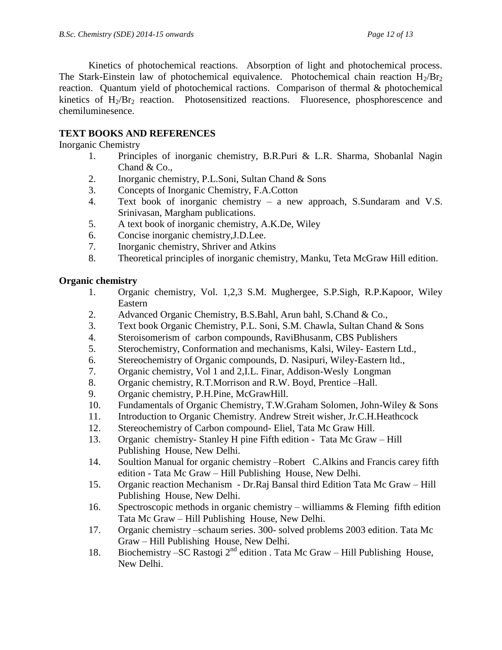Kinetics of photochemical reactions. Absorption of light and photochemical process. The Stark-Einstein law of photochemical equivalence. Photochemical chain reaction  $H_2/H_2$ reaction. Quantum yield of photochemical ractions. Comparison of thermal & photochemical kinetics of  $H_2/Hr_2$  reaction. Photosensitized reactions. Fluoresence, phosphorescence and chemiluminesence.

# **TEXT BOOKS AND REFERENCES**

Inorganic Chemistry

- 1. Principles of inorganic chemistry, B.R.Puri & L.R. Sharma, Shobanlal Nagin Chand & Co.,
- 2. Inorganic chemistry, P.L.Soni, Sultan Chand & Sons
- 3. Concepts of Inorganic Chemistry, F.A.Cotton
- 4. Text book of inorganic chemistry a new approach, S.Sundaram and V.S. Srinivasan, Margham publications.
- 5. A text book of inorganic chemistry, A.K.De, Wiley
- 6. Concise inorganic chemistry,J.D.Lee.
- 7. Inorganic chemistry, Shriver and Atkins
- 8. Theoretical principles of inorganic chemistry, Manku, Teta McGraw Hill edition.

# **Organic chemistry**

- 1. Organic chemistry, Vol. 1,2,3 S.M. Mughergee, S.P.Sigh, R.P.Kapoor, Wiley Eastern
- 2. Advanced Organic Chemistry, B.S.Bahl, Arun bahl, S.Chand & Co.,
- 3. Text book Organic Chemistry, P.L. Soni, S.M. Chawla, Sultan Chand & Sons
- 4. Steroisomerism of carbon compounds, RaviBhusanm, CBS Publishers
- 5. Sterochemistry, Conformation and mechanisms, Kalsi, Wiley- Eastern Ltd.,
- 6. Stereochemistry of Organic compounds, D. Nasipuri, Wiley-Eastern ltd.,
- 7. Organic chemistry, Vol 1 and 2,I.L. Finar, Addison-Wesly Longman
- 8. Organic chemistry, R.T.Morrison and R.W. Boyd, Prentice –Hall.
- 9. Organic chemistry, P.H.Pine, McGrawHill.
- 10. Fundamentals of Organic Chemistry, T.W.Graham Solomen, John-Wiley & Sons
- 11. Introduction to Organic Chemistry. Andrew Streit wisher, Jr.C.H.Heathcock
- 12. Stereochemistry of Carbon compound- Eliel, Tata Mc Graw Hill.
- 13. Organic chemistry- Stanley H pine Fifth edition Tata Mc Graw Hill Publishing House, New Delhi.
- 14. Soultion Manual for organic chemistry –Robert C.Alkins and Francis carey fifth edition - Tata Mc Graw – Hill Publishing House, New Delhi.
- 15. Organic reaction Mechanism Dr.Raj Bansal third Edition Tata Mc Graw Hill Publishing House, New Delhi.
- 16. Spectroscopic methods in organic chemistry williamms & Fleming fifth edition Tata Mc Graw – Hill Publishing House, New Delhi.
- 17. Organic chemistry –schaum series. 300- solved problems 2003 edition. Tata Mc Graw – Hill Publishing House, New Delhi.
- 18. Biochemistry SC Rastogi  $2^{nd}$  edition . Tata Mc Graw Hill Publishing House, New Delhi.